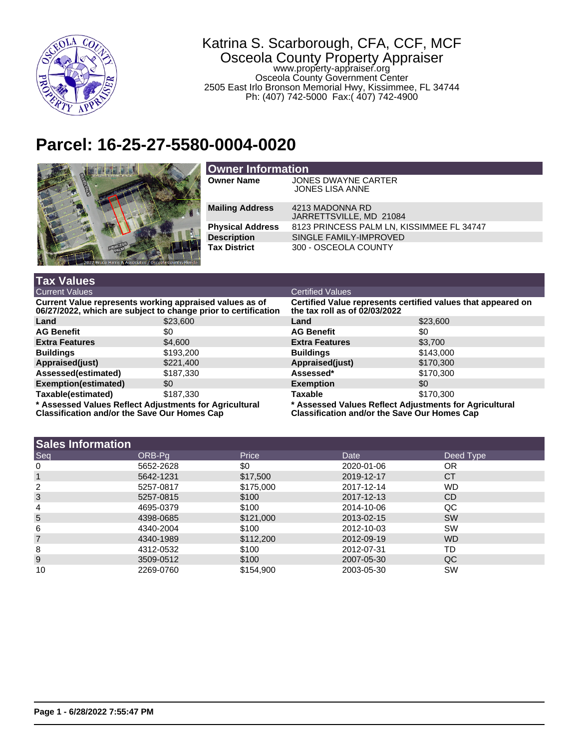

## Katrina S. Scarborough, CFA, CCF, MCF Osceola County Property Appraiser www.property-appraiser.org Osceola County Government Center 2505 East Irlo Bronson Memorial Hwy, Kissimmee, FL 34744

Ph: (407) 742-5000 Fax:( 407) 742-4900

## **Parcel: 16-25-27-5580-0004-0020**



| <b>Owner Information</b> |                                               |  |  |  |
|--------------------------|-----------------------------------------------|--|--|--|
| <b>Owner Name</b>        | JONES DWAYNE CARTER<br><b>JONES LISA ANNE</b> |  |  |  |
| <b>Mailing Address</b>   | 4213 MADONNA RD<br>JARRETTSVILLE, MD 21084    |  |  |  |
| <b>Physical Address</b>  | 8123 PRINCESS PALM LN, KISSIMMEE FL 34747     |  |  |  |
| <b>Description</b>       | SINGLE FAMILY-IMPROVED                        |  |  |  |
| <b>Tax District</b>      | 300 - OSCEOLA COUNTY                          |  |  |  |

| <b>Tax Values</b>                                                                                                         |           |                                                                                                               |           |  |
|---------------------------------------------------------------------------------------------------------------------------|-----------|---------------------------------------------------------------------------------------------------------------|-----------|--|
| <b>Current Values</b>                                                                                                     |           | <b>Certified Values</b>                                                                                       |           |  |
| Current Value represents working appraised values as of<br>06/27/2022, which are subject to change prior to certification |           | Certified Value represents certified values that appeared on<br>the tax roll as of 02/03/2022                 |           |  |
| Land                                                                                                                      | \$23,600  | Land                                                                                                          | \$23,600  |  |
| <b>AG Benefit</b>                                                                                                         | \$0       | <b>AG Benefit</b>                                                                                             | \$0       |  |
| <b>Extra Features</b>                                                                                                     | \$4,600   | <b>Extra Features</b>                                                                                         | \$3.700   |  |
| <b>Buildings</b>                                                                                                          | \$193,200 | <b>Buildings</b>                                                                                              | \$143,000 |  |
| Appraised(just)                                                                                                           | \$221,400 | Appraised(just)                                                                                               | \$170,300 |  |
| Assessed(estimated)                                                                                                       | \$187,330 | Assessed*                                                                                                     | \$170,300 |  |
| Exemption(estimated)                                                                                                      | \$0       | <b>Exemption</b>                                                                                              | \$0       |  |
| Taxable(estimated)                                                                                                        | \$187,330 | Taxable                                                                                                       | \$170,300 |  |
| * Assessed Values Reflect Adjustments for Agricultural<br><b>Classification and/or the Save Our Homes Cap</b>             |           | * Assessed Values Reflect Adjustments for Agricultural<br><b>Classification and/or the Save Our Homes Cap</b> |           |  |

|  | <b>Sales Information</b> |
|--|--------------------------|
|--|--------------------------|

| ISales Information |           |           |            |           |
|--------------------|-----------|-----------|------------|-----------|
| Seq                | ORB-Pa    | Price     | Date       | Deed Type |
| 0                  | 5652-2628 | \$0       | 2020-01-06 | <b>OR</b> |
|                    | 5642-1231 | \$17,500  | 2019-12-17 | <b>CT</b> |
| 2                  | 5257-0817 | \$175,000 | 2017-12-14 | WD        |
| 3                  | 5257-0815 | \$100     | 2017-12-13 | CD        |
| 4                  | 4695-0379 | \$100     | 2014-10-06 | QC        |
| 5                  | 4398-0685 | \$121,000 | 2013-02-15 | <b>SW</b> |
| 6                  | 4340-2004 | \$100     | 2012-10-03 | SW        |
| $\overline{7}$     | 4340-1989 | \$112,200 | 2012-09-19 | WD.       |
| 8                  | 4312-0532 | \$100     | 2012-07-31 | TD        |
| 9                  | 3509-0512 | \$100     | 2007-05-30 | QC.       |
| 10                 | 2269-0760 | \$154.900 | 2003-05-30 | SW        |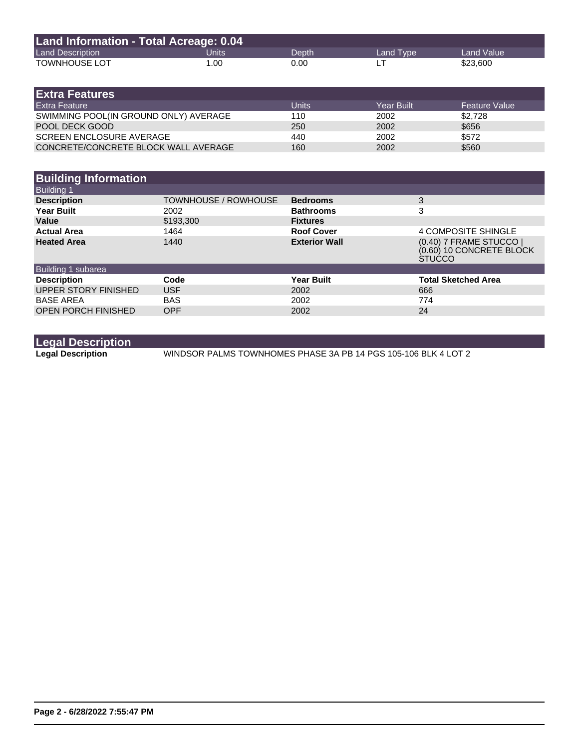| Land Information - Total Acreage: 0.04 |       |       |           |            |  |
|----------------------------------------|-------|-------|-----------|------------|--|
| <b>Land Description</b>                | Units | Depth | Land Type | Land Value |  |
| <b>TOWNHOUSE LOT</b>                   | 1.00  | 0.00  |           | \$23,600   |  |

| <b>Extra Features</b>                 |       |            |                      |
|---------------------------------------|-------|------------|----------------------|
| <b>Extra Feature</b>                  | Units | Year Built | <b>Feature Value</b> |
| SWIMMING POOL(IN GROUND ONLY) AVERAGE | 110   | 2002       | \$2.728              |
| POOL DECK GOOD                        | 250   | 2002       | \$656                |
| <b>SCREEN ENCLOSURE AVERAGE</b>       | 440   | 2002       | \$572                |
| CONCRETE/CONCRETE BLOCK WALL AVERAGE  | 160   | 2002       | \$560                |

| <b>Building Information</b> |                             |                      |                                                                      |
|-----------------------------|-----------------------------|----------------------|----------------------------------------------------------------------|
| <b>Building 1</b>           |                             |                      |                                                                      |
| <b>Description</b>          | <b>TOWNHOUSE / ROWHOUSE</b> | <b>Bedrooms</b>      | 3                                                                    |
| <b>Year Built</b>           | 2002                        | <b>Bathrooms</b>     | 3                                                                    |
| Value                       | \$193,300                   | <b>Fixtures</b>      |                                                                      |
| <b>Actual Area</b>          | 1464                        | <b>Roof Cover</b>    | 4 COMPOSITE SHINGLE                                                  |
| <b>Heated Area</b>          | 1440                        | <b>Exterior Wall</b> | (0.40) 7 FRAME STUCCO  <br>(0.60) 10 CONCRETE BLOCK<br><b>STUCCO</b> |
| Building 1 subarea          |                             |                      |                                                                      |
| <b>Description</b>          | Code                        | <b>Year Built</b>    | <b>Total Sketched Area</b>                                           |
| UPPER STORY FINISHED        | <b>USF</b>                  | 2002                 | 666                                                                  |
| <b>BASE AREA</b>            | <b>BAS</b>                  | 2002                 | 774                                                                  |
| <b>OPEN PORCH FINISHED</b>  | <b>OPF</b>                  | 2002                 | 24                                                                   |

**Legal Description**

**Legal Description** WINDSOR PALMS TOWNHOMES PHASE 3A PB 14 PGS 105-106 BLK 4 LOT 2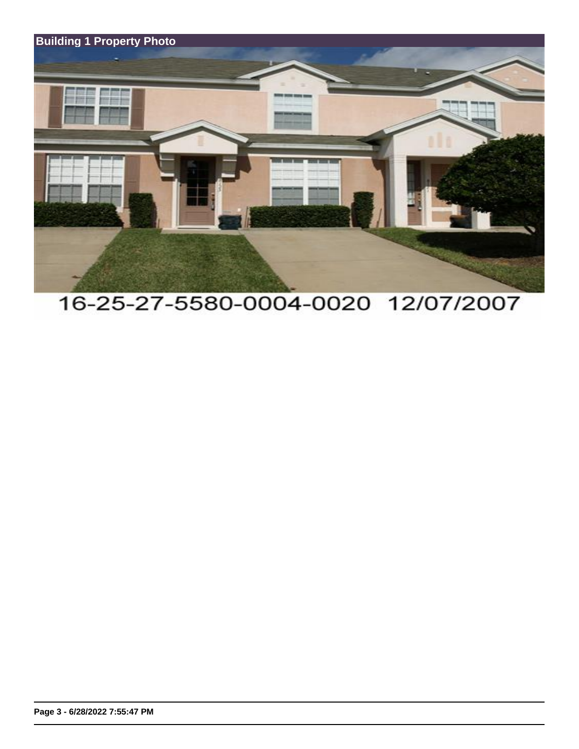

## 16-25-27-5580-0004-0020 12/07/2007